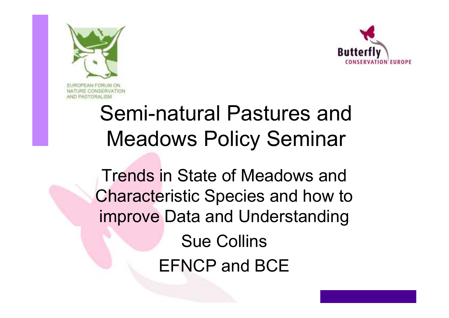



### Semi-natural Pastures and Meadows Policy Seminar

Trends in State of Meadows and Characteristic Species and how to improve Data and UnderstandingSue CollinsEFNCP and BCE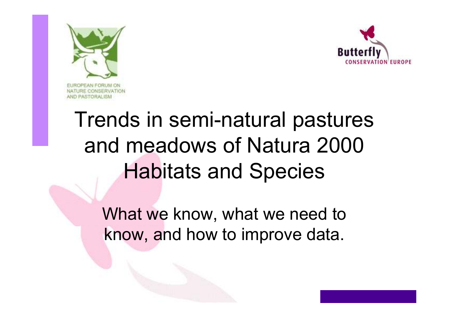



## Trends in semi-natural pastures and meadows of Natura <sup>2000</sup> Habitats and Species

What we know, what we need to know, and how to improve data.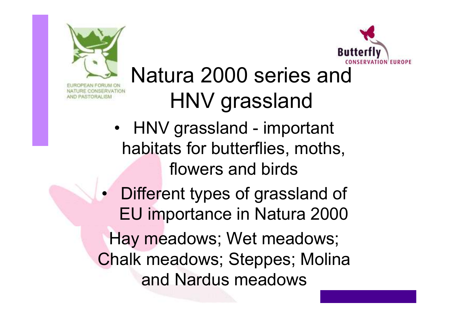



## Natura 2000 series and HNV grassland

- HNV grassland important habitats for butterflies, moths, flowers and birds
- • Different types of grassland of EU importance in Natura <sup>2000</sup> Hay meadows; Wet meadows; Chalk meadows; Steppes; Molina and Nardus meadows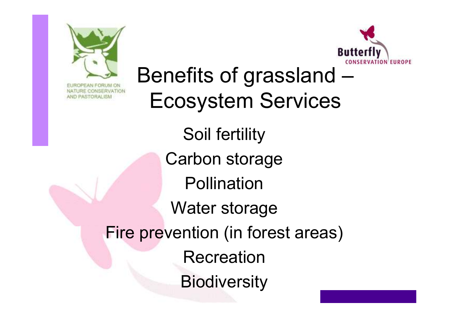



Benefits of grassland – Ecosystem ServicesSoil fertilityCarbon storage**Pollination** Water storageFire prevention (in forest areas)Recreation**Biodiversity**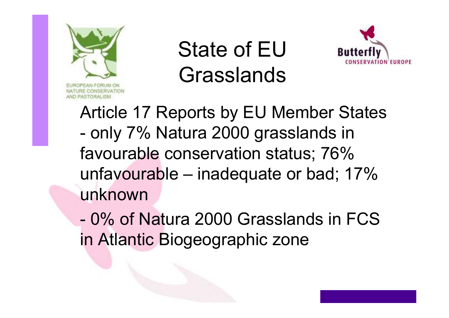

State of EU Grasslands



Article 17 Reports by EU Member States only 7% Natura 2000 grasslands in favourable conservation status; 76% unfavourable – inadequate or bad; 17% unknown

-0% of Natura 2000 Grasslands in FCS in Atlantic Biogeographic zone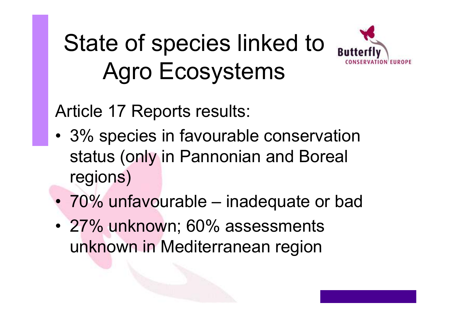# State of species linked to Agro Ecosystems



Article 17 Reports results:

- •3% species in favourable conservation status (only in Pannonian and Boreal regions)
- $\bullet$ 70% unfavourable – inadequate or bad
- • 27% unknown; 60% assessments unknown in Mediterranean region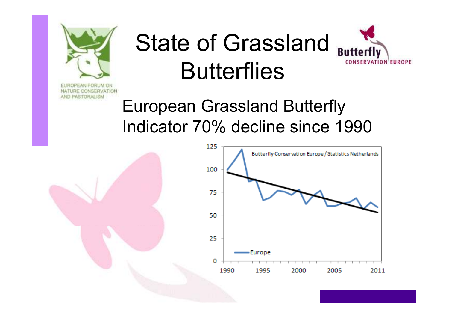

# State of Grassland Butterfly **Butterflies**



European Grassland Butterfly Indicator 70% decline since 1990

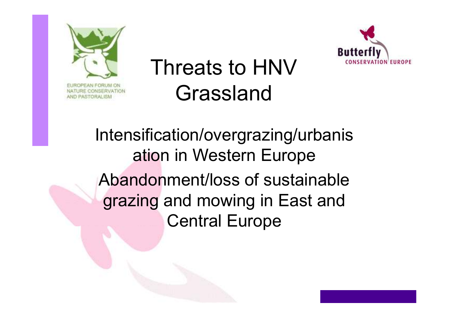

## Threats to HNV Grassland



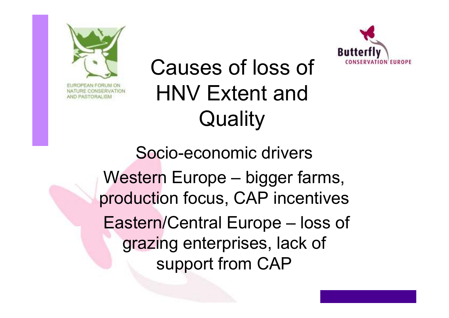



### Causes of loss of HNV Extent and **Quality**

Socio-economic driversWestern Europe – bigger farms, production focus, CAP incentivesEastern/Central Europe – loss of grazing enterprises, lack of support from CAP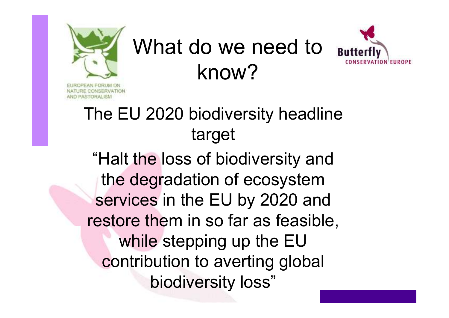

# What do we need to know?



#### The EU 2020 biodiversity headline target

"Halt the loss of biodiversity and the degradation of ecosystem services in the EU by 2020 and restore them in so far as feasible, while stepping up the EU contribution to averting global biodiversity loss"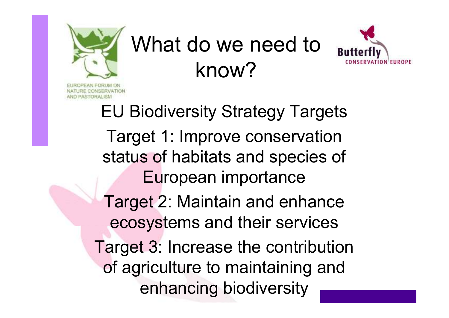

# What do we need to know?



EU Biodiversity Strategy TargetsTarget 1: Improve conservation status of habitats and species of European importanceTarget 2: Maintain and enhance ecosystems and their servicesTarget 3: Increase the contribution of agriculture to maintaining and enhancing biodiversity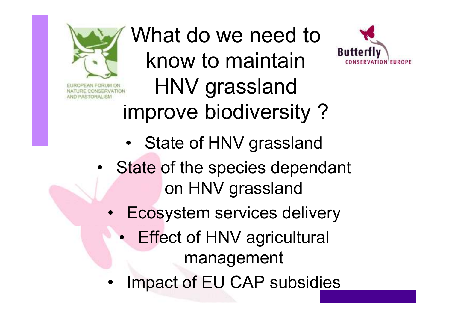

What do we need to know to maintain HNV grassland improve biodiversity ?



- •State of the species dependant on HNV grassland
	- • Ecosystem services delivery
		- $\bullet$  Effect of HNV agricultural management
	- •Impact of EU CAP subsidies

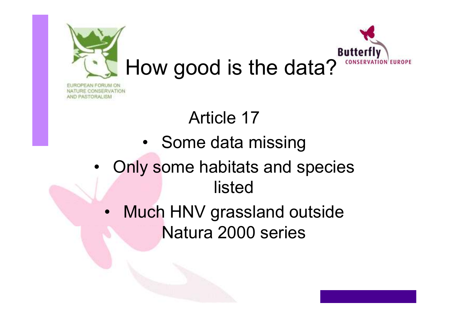

### Article 17

PASTORAL ISM

- •Some data missing
- • Only some habitats and species listed
	- • Much HNV grassland outside Natura 2000 series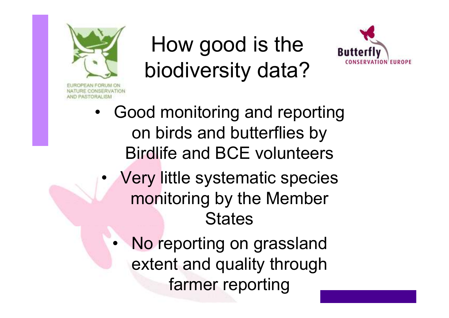

•

## How good is the biodiversity data?



- • Good monitoring and reporting on birds and butterflies by Birdlife and BCE volunteers• Very little systematic species monitoring by the Member **States** 
	- No reporting on grassland extent and quality through farmer reporting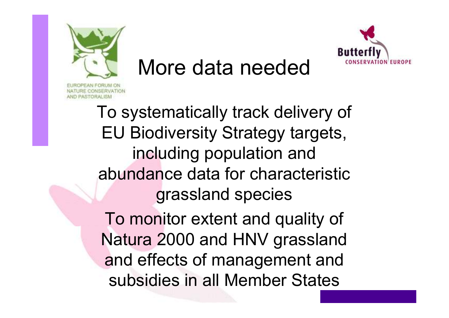

### More data needed



To monitor extent and quality of Natura 2000 and HNV grassland and effects of management and subsidies in all Member States

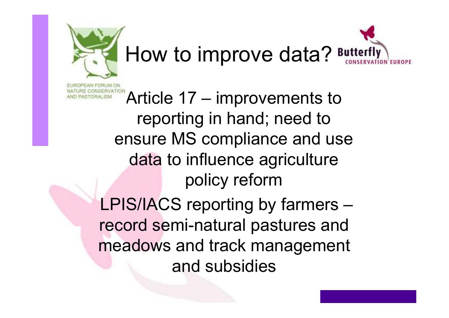

• Article 17 – improvements to reporting in hand; need to ensure MS compliance and use data to influence agriculture policy reform LPIS/IACS reporting by farmers – record semi-natural pastures and meadows and track management and subsidies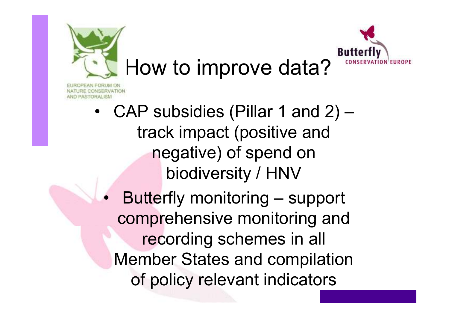



CONSERVATION ASTORAL ISM

> •CAP subsidies (Pillar 1 and 2) – track impact (positive and negative) of spend on biodiversity / HNV

 $\bullet$  Butterfly monitoring – support comprehensive monitoring and recording schemes in all Member States and compilation of policy relevant indicators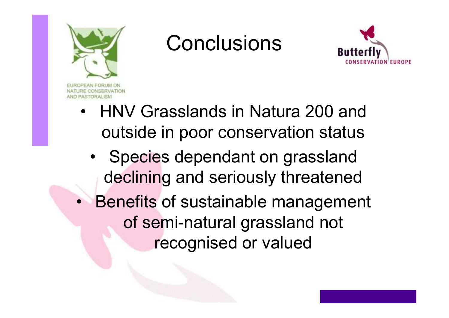

### **Conclusions**



- • HNV Grasslands in Natura 200 and outside in poor conservation status
	- •Species dependant on grassland declining and seriously threatened
- $\bullet$  Benefits of sustainable management of semi-natural grassland not recognised or valued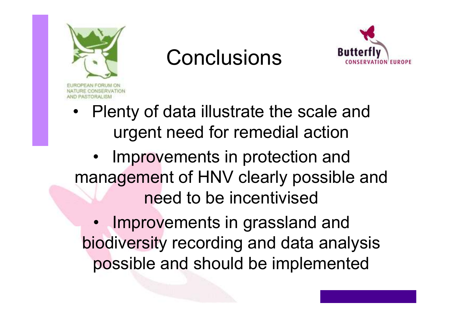

### **Conclusions**



• Plenty of data illustrate the scale and urgent need for remedial action

• Improvements in protection and management of HNV clearly possible and need to be incentivised

• Improvements in grassland and biodiversity recording and data analysis possible and should be implemented